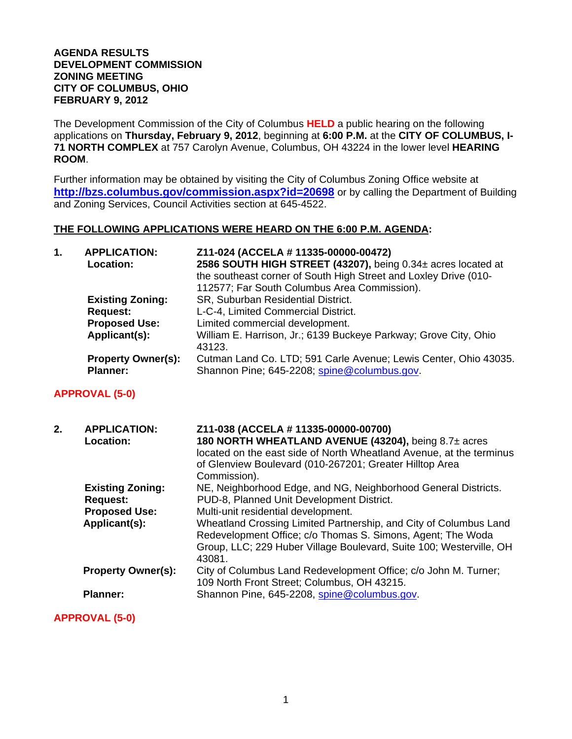## **AGENDA RESULTS DEVELOPMENT COMMISSION ZONING MEETING CITY OF COLUMBUS, OHIO FEBRUARY 9, 2012**

The Development Commission of the City of Columbus **HELD** a public hearing on the following applications on **Thursday, February 9, 2012**, beginning at **6:00 P.M.** at the **CITY OF COLUMBUS, I-71 NORTH COMPLEX** at 757 Carolyn Avenue, Columbus, OH 43224 in the lower level **HEARING ROOM**.

Further information may be obtained by visiting the City of Columbus Zoning Office website at **http://bzs.columbus.gov/commission.aspx?id=20698** or by calling the Department of Building and Zoning Services, Council Activities section at 645-4522.

## **THE FOLLOWING APPLICATIONS WERE HEARD ON THE 6:00 P.M. AGENDA:**

| 1. | <b>APPLICATION:</b><br>Location:             | Z11-024 (ACCELA # 11335-00000-00472)<br>2586 SOUTH HIGH STREET (43207), being 0.34± acres located at<br>the southeast corner of South High Street and Loxley Drive (010- |
|----|----------------------------------------------|--------------------------------------------------------------------------------------------------------------------------------------------------------------------------|
|    |                                              | 112577; Far South Columbus Area Commission).                                                                                                                             |
|    | <b>Existing Zoning:</b>                      | SR, Suburban Residential District.                                                                                                                                       |
|    | <b>Request:</b>                              | L-C-4, Limited Commercial District.                                                                                                                                      |
|    | <b>Proposed Use:</b>                         | Limited commercial development.                                                                                                                                          |
|    | Applicant(s):                                | William E. Harrison, Jr.; 6139 Buckeye Parkway; Grove City, Ohio<br>43123.                                                                                               |
|    | <b>Property Owner(s):</b><br><b>Planner:</b> | Cutman Land Co. LTD; 591 Carle Avenue; Lewis Center, Ohio 43035.<br>Shannon Pine; 645-2208; spine@columbus.gov.                                                          |
|    | <b>APPROVAL (5-0)</b>                        |                                                                                                                                                                          |
| 2. | <b>APPLICATION:</b>                          | Z11-038 (ACCELA # 11335-00000-00700)                                                                                                                                     |

| z., | AFFLIGATION.              | $211$ -030 (ACCELA # 11333-00000-007007                             |
|-----|---------------------------|---------------------------------------------------------------------|
|     | Location:                 | 180 NORTH WHEATLAND AVENUE (43204), being 8.7± acres                |
|     |                           | located on the east side of North Wheatland Avenue, at the terminus |
|     |                           | of Glenview Boulevard (010-267201; Greater Hilltop Area             |
|     |                           | Commission).                                                        |
|     | <b>Existing Zoning:</b>   | NE, Neighborhood Edge, and NG, Neighborhood General Districts.      |
|     | <b>Request:</b>           | PUD-8, Planned Unit Development District.                           |
|     | <b>Proposed Use:</b>      | Multi-unit residential development.                                 |
|     | Applicant(s):             | Wheatland Crossing Limited Partnership, and City of Columbus Land   |
|     |                           | Redevelopment Office; c/o Thomas S. Simons, Agent; The Woda         |
|     |                           | Group, LLC; 229 Huber Village Boulevard, Suite 100; Westerville, OH |
|     |                           | 43081.                                                              |
|     | <b>Property Owner(s):</b> | City of Columbus Land Redevelopment Office; c/o John M. Turner;     |
|     |                           | 109 North Front Street; Columbus, OH 43215.                         |
|     | <b>Planner:</b>           | Shannon Pine, 645-2208, spine@columbus.gov.                         |
|     |                           |                                                                     |

**APPROVAL (5-0)**